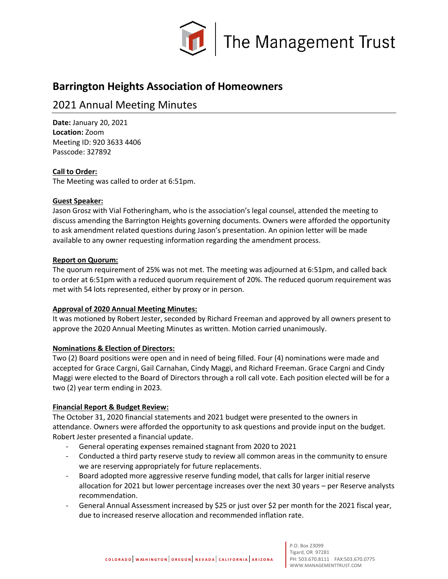

# **Barrington Heights Association of Homeowners**

## 2021 Annual Meeting Minutes

**Date:** January 20, 2021 **Location:** Zoom Meeting ID: 920 3633 4406 Passcode: 327892

## **Call to Order:**

The Meeting was called to order at 6:51pm.

## **Guest Speaker:**

Jason Grosz with Vial Fotheringham, who is the association's legal counsel, attended the meeting to discuss amending the Barrington Heights governing documents. Owners were afforded the opportunity to ask amendment related questions during Jason's presentation. An opinion letter will be made available to any owner requesting information regarding the amendment process.

## **Report on Quorum:**

The quorum requirement of 25% was not met. The meeting was adjourned at 6:51pm, and called back to order at 6:51pm with a reduced quorum requirement of 20%. The reduced quorum requirement was met with 54 lots represented, either by proxy or in person.

#### **Approval of 2020 Annual Meeting Minutes:**

It was motioned by Robert Jester, seconded by Richard Freeman and approved by all owners present to approve the 2020 Annual Meeting Minutes as written. Motion carried unanimously.

## **Nominations & Election of Directors:**

Two (2) Board positions were open and in need of being filled. Four (4) nominations were made and accepted for Grace Cargni, Gail Carnahan, Cindy Maggi, and Richard Freeman. Grace Cargni and Cindy Maggi were elected to the Board of Directors through a roll call vote. Each position elected will be for a two (2) year term ending in 2023.

## **Financial Report & Budget Review:**

The October 31, 2020 financial statements and 2021 budget were presented to the owners in attendance. Owners were afforded the opportunity to ask questions and provide input on the budget. Robert Jester presented a financial update.

- General operating expenses remained stagnant from 2020 to 2021
- Conducted a third party reserve study to review all common areas in the community to ensure we are reserving appropriately for future replacements.
- Board adopted more aggressive reserve funding model, that calls for larger initial reserve allocation for 2021 but lower percentage increases over the next 30 years – per Reserve analysts recommendation.
- General Annual Assessment increased by \$25 or just over \$2 per month for the 2021 fiscal year, due to increased reserve allocation and recommended inflation rate.